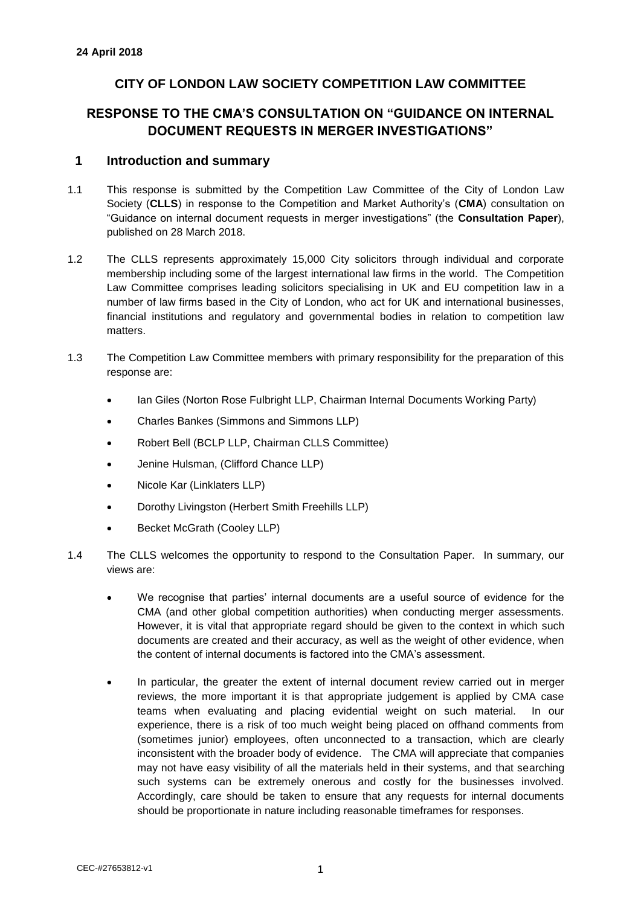# **CITY OF LONDON LAW SOCIETY COMPETITION LAW COMMITTEE**

# **RESPONSE TO THE CMA'S CONSULTATION ON "GUIDANCE ON INTERNAL DOCUMENT REQUESTS IN MERGER INVESTIGATIONS"**

## **1 Introduction and summary**

- 1.1 This response is submitted by the Competition Law Committee of the City of London Law Society (**CLLS**) in response to the Competition and Market Authority's (**CMA**) consultation on "Guidance on internal document requests in merger investigations" (the **Consultation Paper**), published on 28 March 2018.
- 1.2 The CLLS represents approximately 15,000 City solicitors through individual and corporate membership including some of the largest international law firms in the world. The Competition Law Committee comprises leading solicitors specialising in UK and EU competition law in a number of law firms based in the City of London, who act for UK and international businesses, financial institutions and regulatory and governmental bodies in relation to competition law matters.
- 1.3 The Competition Law Committee members with primary responsibility for the preparation of this response are:
	- Ian Giles (Norton Rose Fulbright LLP, Chairman Internal Documents Working Party)
	- Charles Bankes (Simmons and Simmons LLP)
	- Robert Bell (BCLP LLP, Chairman CLLS Committee)
	- Jenine Hulsman, (Clifford Chance LLP)
	- Nicole Kar (Linklaters LLP)
	- Dorothy Livingston (Herbert Smith Freehills LLP)
	- Becket McGrath (Cooley LLP)
- 1.4 The CLLS welcomes the opportunity to respond to the Consultation Paper. In summary, our views are:
	- We recognise that parties' internal documents are a useful source of evidence for the CMA (and other global competition authorities) when conducting merger assessments. However, it is vital that appropriate regard should be given to the context in which such documents are created and their accuracy, as well as the weight of other evidence, when the content of internal documents is factored into the CMA's assessment.
	- In particular, the greater the extent of internal document review carried out in merger reviews, the more important it is that appropriate judgement is applied by CMA case teams when evaluating and placing evidential weight on such material. In our experience, there is a risk of too much weight being placed on offhand comments from (sometimes junior) employees, often unconnected to a transaction, which are clearly inconsistent with the broader body of evidence. The CMA will appreciate that companies may not have easy visibility of all the materials held in their systems, and that searching such systems can be extremely onerous and costly for the businesses involved. Accordingly, care should be taken to ensure that any requests for internal documents should be proportionate in nature including reasonable timeframes for responses.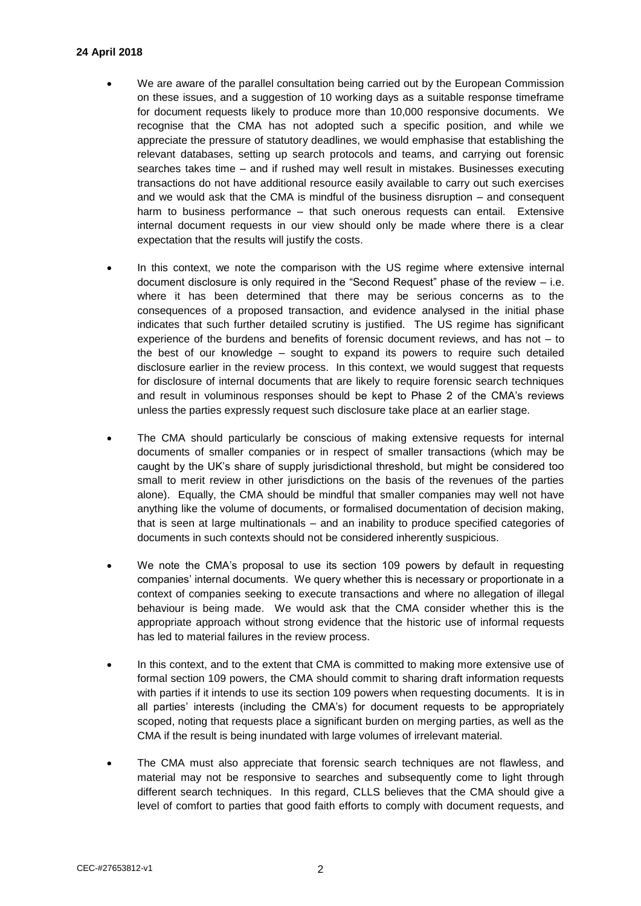#### **24 April 2018**

- We are aware of the parallel consultation being carried out by the European Commission on these issues, and a suggestion of 10 working days as a suitable response timeframe for document requests likely to produce more than 10,000 responsive documents. We recognise that the CMA has not adopted such a specific position, and while we appreciate the pressure of statutory deadlines, we would emphasise that establishing the relevant databases, setting up search protocols and teams, and carrying out forensic searches takes time – and if rushed may well result in mistakes. Businesses executing transactions do not have additional resource easily available to carry out such exercises and we would ask that the CMA is mindful of the business disruption – and consequent harm to business performance – that such onerous requests can entail. Extensive internal document requests in our view should only be made where there is a clear expectation that the results will justify the costs.
- In this context, we note the comparison with the US regime where extensive internal document disclosure is only required in the "Second Request" phase of the review – i.e. where it has been determined that there may be serious concerns as to the consequences of a proposed transaction, and evidence analysed in the initial phase indicates that such further detailed scrutiny is justified. The US regime has significant experience of the burdens and benefits of forensic document reviews, and has not – to the best of our knowledge – sought to expand its powers to require such detailed disclosure earlier in the review process. In this context, we would suggest that requests for disclosure of internal documents that are likely to require forensic search techniques and result in voluminous responses should be kept to Phase 2 of the CMA's reviews unless the parties expressly request such disclosure take place at an earlier stage.
- The CMA should particularly be conscious of making extensive requests for internal documents of smaller companies or in respect of smaller transactions (which may be caught by the UK's share of supply jurisdictional threshold, but might be considered too small to merit review in other jurisdictions on the basis of the revenues of the parties alone). Equally, the CMA should be mindful that smaller companies may well not have anything like the volume of documents, or formalised documentation of decision making, that is seen at large multinationals – and an inability to produce specified categories of documents in such contexts should not be considered inherently suspicious.
- We note the CMA's proposal to use its section 109 powers by default in requesting companies' internal documents. We query whether this is necessary or proportionate in a context of companies seeking to execute transactions and where no allegation of illegal behaviour is being made. We would ask that the CMA consider whether this is the appropriate approach without strong evidence that the historic use of informal requests has led to material failures in the review process.
- In this context, and to the extent that CMA is committed to making more extensive use of formal section 109 powers, the CMA should commit to sharing draft information requests with parties if it intends to use its section 109 powers when requesting documents. It is in all parties' interests (including the CMA's) for document requests to be appropriately scoped, noting that requests place a significant burden on merging parties, as well as the CMA if the result is being inundated with large volumes of irrelevant material.
- The CMA must also appreciate that forensic search techniques are not flawless, and material may not be responsive to searches and subsequently come to light through different search techniques. In this regard, CLLS believes that the CMA should give a level of comfort to parties that good faith efforts to comply with document requests, and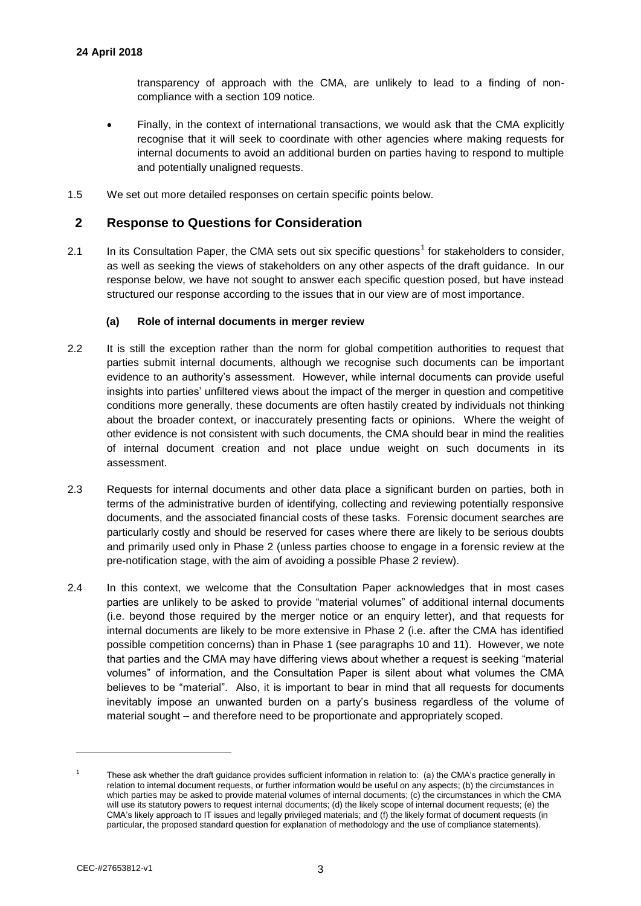transparency of approach with the CMA, are unlikely to lead to a finding of noncompliance with a section 109 notice.

- Finally, in the context of international transactions, we would ask that the CMA explicitly recognise that it will seek to coordinate with other agencies where making requests for internal documents to avoid an additional burden on parties having to respond to multiple and potentially unaligned requests.
- 1.5 We set out more detailed responses on certain specific points below.

## **2 Response to Questions for Consideration**

2.1 In its Consultation Paper, the CMA sets out six specific questions<sup>1</sup> for stakeholders to consider, as well as seeking the views of stakeholders on any other aspects of the draft guidance. In our response below, we have not sought to answer each specific question posed, but have instead structured our response according to the issues that in our view are of most importance.

#### **(a) Role of internal documents in merger review**

- 2.2 It is still the exception rather than the norm for global competition authorities to request that parties submit internal documents, although we recognise such documents can be important evidence to an authority's assessment. However, while internal documents can provide useful insights into parties' unfiltered views about the impact of the merger in question and competitive conditions more generally, these documents are often hastily created by individuals not thinking about the broader context, or inaccurately presenting facts or opinions. Where the weight of other evidence is not consistent with such documents, the CMA should bear in mind the realities of internal document creation and not place undue weight on such documents in its assessment.
- 2.3 Requests for internal documents and other data place a significant burden on parties, both in terms of the administrative burden of identifying, collecting and reviewing potentially responsive documents, and the associated financial costs of these tasks. Forensic document searches are particularly costly and should be reserved for cases where there are likely to be serious doubts and primarily used only in Phase 2 (unless parties choose to engage in a forensic review at the pre-notification stage, with the aim of avoiding a possible Phase 2 review).
- 2.4 In this context, we welcome that the Consultation Paper acknowledges that in most cases parties are unlikely to be asked to provide "material volumes" of additional internal documents (i.e. beyond those required by the merger notice or an enquiry letter), and that requests for internal documents are likely to be more extensive in Phase 2 (i.e. after the CMA has identified possible competition concerns) than in Phase 1 (see paragraphs 10 and 11). However, we note that parties and the CMA may have differing views about whether a request is seeking "material volumes" of information, and the Consultation Paper is silent about what volumes the CMA believes to be "material". Also, it is important to bear in mind that all requests for documents inevitably impose an unwanted burden on a party's business regardless of the volume of material sought – and therefore need to be proportionate and appropriately scoped.

l

<sup>1</sup> These ask whether the draft guidance provides sufficient information in relation to: (a) the CMA's practice generally in relation to internal document requests, or further information would be useful on any aspects; (b) the circumstances in which parties may be asked to provide material volumes of internal documents; (c) the circumstances in which the CMA will use its statutory powers to request internal documents; (d) the likely scope of internal document requests; (e) the CMA's likely approach to IT issues and legally privileged materials; and (f) the likely format of document requests (in particular, the proposed standard question for explanation of methodology and the use of compliance statements).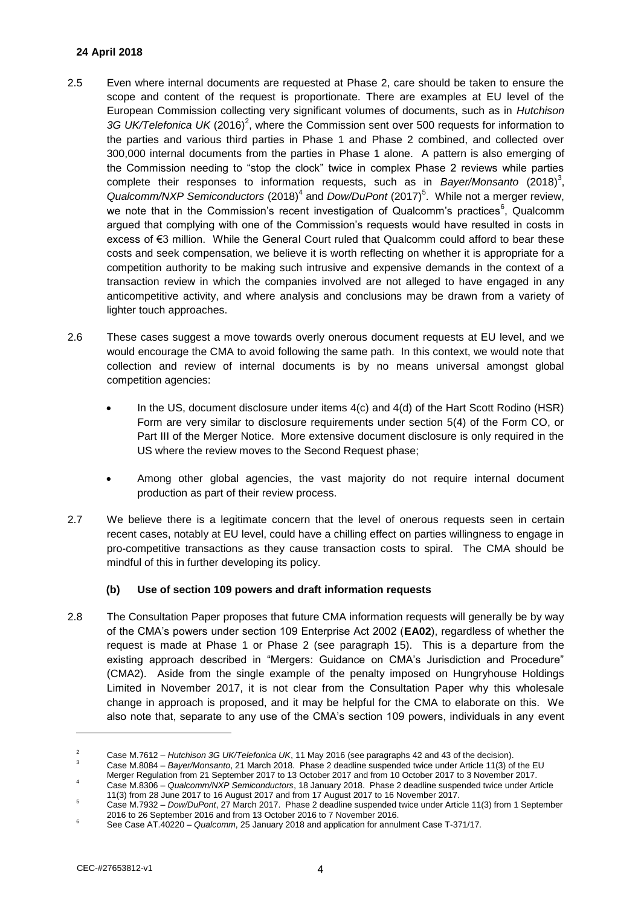### **24 April 2018**

- 2.5 Even where internal documents are requested at Phase 2, care should be taken to ensure the scope and content of the request is proportionate. There are examples at EU level of the European Commission collecting very significant volumes of documents, such as in *Hutchison*  3G UK/Telefonica UK (2016)<sup>2</sup>, where the Commission sent over 500 requests for information to the parties and various third parties in Phase 1 and Phase 2 combined, and collected over 300,000 internal documents from the parties in Phase 1 alone. A pattern is also emerging of the Commission needing to "stop the clock" twice in complex Phase 2 reviews while parties complete their responses to information requests, such as in *Bayer/Monsanto* (2018)<sup>3</sup>, Qualcomm/NXP Semiconductors (2018)<sup>4</sup> and *Dow/DuPont* (2017)<sup>5</sup>. While not a merger review, we note that in the Commission's recent investigation of Qualcomm's practices<sup>6</sup>, Qualcomm argued that complying with one of the Commission's requests would have resulted in costs in excess of €3 million. While the General Court ruled that Qualcomm could afford to bear these costs and seek compensation, we believe it is worth reflecting on whether it is appropriate for a competition authority to be making such intrusive and expensive demands in the context of a transaction review in which the companies involved are not alleged to have engaged in any anticompetitive activity, and where analysis and conclusions may be drawn from a variety of lighter touch approaches.
- 2.6 These cases suggest a move towards overly onerous document requests at EU level, and we would encourage the CMA to avoid following the same path. In this context, we would note that collection and review of internal documents is by no means universal amongst global competition agencies:
	- In the US, document disclosure under items 4(c) and 4(d) of the Hart Scott Rodino (HSR) Form are very similar to disclosure requirements under section 5(4) of the Form CO, or Part III of the Merger Notice. More extensive document disclosure is only required in the US where the review moves to the Second Request phase;
	- Among other global agencies, the vast majority do not require internal document production as part of their review process.
- 2.7 We believe there is a legitimate concern that the level of onerous requests seen in certain recent cases, notably at EU level, could have a chilling effect on parties willingness to engage in pro-competitive transactions as they cause transaction costs to spiral. The CMA should be mindful of this in further developing its policy.

### **(b) Use of section 109 powers and draft information requests**

2.8 The Consultation Paper proposes that future CMA information requests will generally be by way of the CMA's powers under section 109 Enterprise Act 2002 (**EA02**), regardless of whether the request is made at Phase 1 or Phase 2 (see paragraph 15). This is a departure from the existing approach described in "Mergers: Guidance on CMA's Jurisdiction and Procedure" (CMA2). Aside from the single example of the penalty imposed on Hungryhouse Holdings Limited in November 2017, it is not clear from the Consultation Paper why this wholesale change in approach is proposed, and it may be helpful for the CMA to elaborate on this. We also note that, separate to any use of the CMA's section 109 powers, individuals in any event

l

<sup>2</sup> Case M.7612 – *Hutchison 3G UK/Telefonica UK*, 11 May 2016 (see paragraphs 42 and 43 of the decision).

<sup>3</sup> Case M.8084 – *Bayer/Monsanto*, 21 March 2018. Phase 2 deadline suspended twice under Article 11(3) of the EU

Merger Regulation from 21 September 2017 to 13 October 2017 and from 10 October 2017 to 3 November 2017.

<sup>4</sup> Case M.8306 – *Qualcomm/NXP Semiconductors*, 18 January 2018. Phase 2 deadline suspended twice under Article 11(3) from 28 June 2017 to 16 August 2017 and from 17 August 2017 to 16 November 2017.

<sup>5</sup> Case M.7932 – *Dow/DuPont*, 27 March 2017. Phase 2 deadline suspended twice under Article 11(3) from 1 September 2016 to 26 September 2016 and from 13 October 2016 to 7 November 2016.

<sup>6</sup> See Case AT.40220 – *Qualcomm*, 25 January 2018 and application for annulment Case T-371/17.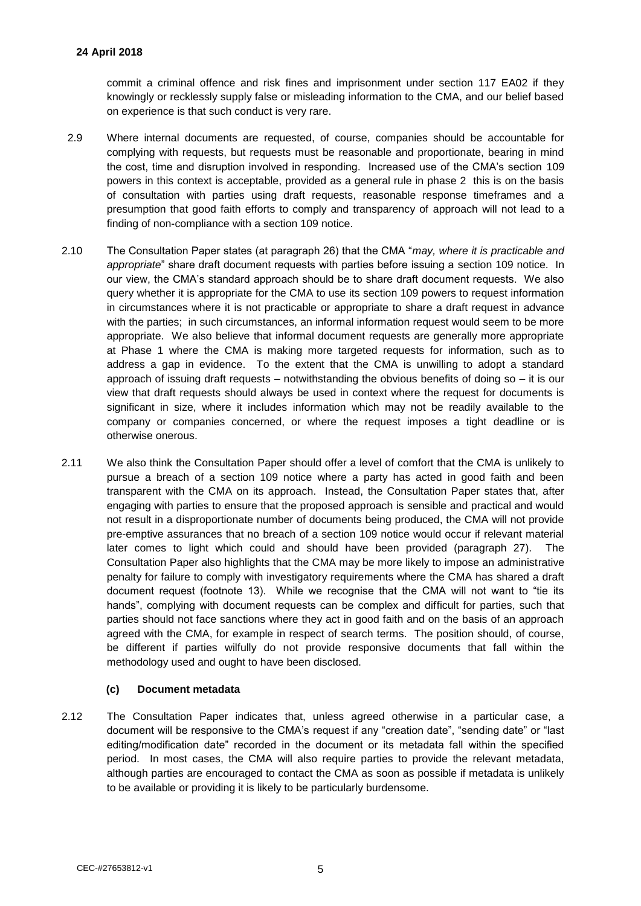commit a criminal offence and risk fines and imprisonment under section 117 EA02 if they knowingly or recklessly supply false or misleading information to the CMA, and our belief based on experience is that such conduct is very rare.

- 2.9 Where internal documents are requested, of course, companies should be accountable for complying with requests, but requests must be reasonable and proportionate, bearing in mind the cost, time and disruption involved in responding. Increased use of the CMA's section 109 powers in this context is acceptable, provided as a general rule in phase 2 this is on the basis of consultation with parties using draft requests, reasonable response timeframes and a presumption that good faith efforts to comply and transparency of approach will not lead to a finding of non-compliance with a section 109 notice.
- 2.10 The Consultation Paper states (at paragraph 26) that the CMA "*may, where it is practicable and appropriate*" share draft document requests with parties before issuing a section 109 notice. In our view, the CMA's standard approach should be to share draft document requests. We also query whether it is appropriate for the CMA to use its section 109 powers to request information in circumstances where it is not practicable or appropriate to share a draft request in advance with the parties; in such circumstances, an informal information request would seem to be more appropriate. We also believe that informal document requests are generally more appropriate at Phase 1 where the CMA is making more targeted requests for information, such as to address a gap in evidence. To the extent that the CMA is unwilling to adopt a standard approach of issuing draft requests – notwithstanding the obvious benefits of doing so – it is our view that draft requests should always be used in context where the request for documents is significant in size, where it includes information which may not be readily available to the company or companies concerned, or where the request imposes a tight deadline or is otherwise onerous.
- 2.11 We also think the Consultation Paper should offer a level of comfort that the CMA is unlikely to pursue a breach of a section 109 notice where a party has acted in good faith and been transparent with the CMA on its approach. Instead, the Consultation Paper states that, after engaging with parties to ensure that the proposed approach is sensible and practical and would not result in a disproportionate number of documents being produced, the CMA will not provide pre-emptive assurances that no breach of a section 109 notice would occur if relevant material later comes to light which could and should have been provided (paragraph 27). The Consultation Paper also highlights that the CMA may be more likely to impose an administrative penalty for failure to comply with investigatory requirements where the CMA has shared a draft document request (footnote 13). While we recognise that the CMA will not want to "tie its hands", complying with document requests can be complex and difficult for parties, such that parties should not face sanctions where they act in good faith and on the basis of an approach agreed with the CMA, for example in respect of search terms. The position should, of course, be different if parties wilfully do not provide responsive documents that fall within the methodology used and ought to have been disclosed.

### **(c) Document metadata**

2.12 The Consultation Paper indicates that, unless agreed otherwise in a particular case, a document will be responsive to the CMA's request if any "creation date", "sending date" or "last editing/modification date" recorded in the document or its metadata fall within the specified period. In most cases, the CMA will also require parties to provide the relevant metadata, although parties are encouraged to contact the CMA as soon as possible if metadata is unlikely to be available or providing it is likely to be particularly burdensome.